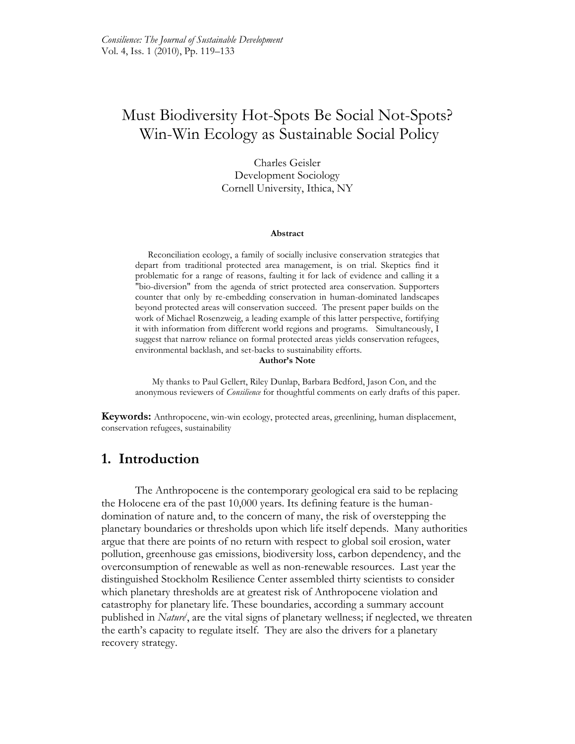# Must Biodiversity Hot-Spots Be Social Not-Spots? Win-Win Ecology as Sustainable Social Policy

Charles Geisler Development Sociology Cornell University, Ithica, NY

#### **Abstract**

Reconciliation ecology, a family of socially inclusive conservation strategies that depart from traditional protected area management, is on trial. Skeptics find it problematic for a range of reasons, faulting it for lack of evidence and calling it a "bio-diversion" from the agenda of strict protected area conservation. Supporters counter that only by re-embedding conservation in human-dominated landscapes beyond protected areas will conservation succeed. The present paper builds on the work of Michael Rosenzweig, a leading example of this latter perspective, fortifying it with information from different world regions and programs. Simultaneously, I suggest that narrow reliance on formal protected areas yields conservation refugees, environmental backlash, and set-backs to sustainability efforts.

#### **Author's Note**

My thanks to Paul Gellert, Riley Dunlap, Barbara Bedford, Jason Con, and the anonymous reviewers of *Consilience* for thoughtful comments on early drafts of this paper.

**Keywords:** Anthropocene, win-win ecology, protected areas, greenlining, human displacement, conservation refugees, sustainability

## **1. Introduction**

The Anthropocene is the contemporary geological era said to be replacing the Holocene era of the past 10,000 years. Its defining feature is the humandomination of nature and, to the concern of many, the risk of overstepping the planetary boundaries or thresholds upon which life itself depends. Many authorities argue that there are points of no return with respect to global soil erosion, water pollution, greenhouse gas emissions, biodiversity loss, carbon dependency, and the overconsumption of renewable as well as non-renewable resources. Last year the distinguished Stockholm Resilience Center assembled thirty scientists to consider which planetary thresholds are at greatest risk of Anthropocene violation and catastrophy for planetary life. These boundaries, according a summary account published in *Nature<sup>i</sup>* , are the vital signs of planetary wellness; if neglected, we threaten the earth's capacity to regulate itself. They are also the drivers for a planetary recovery strategy.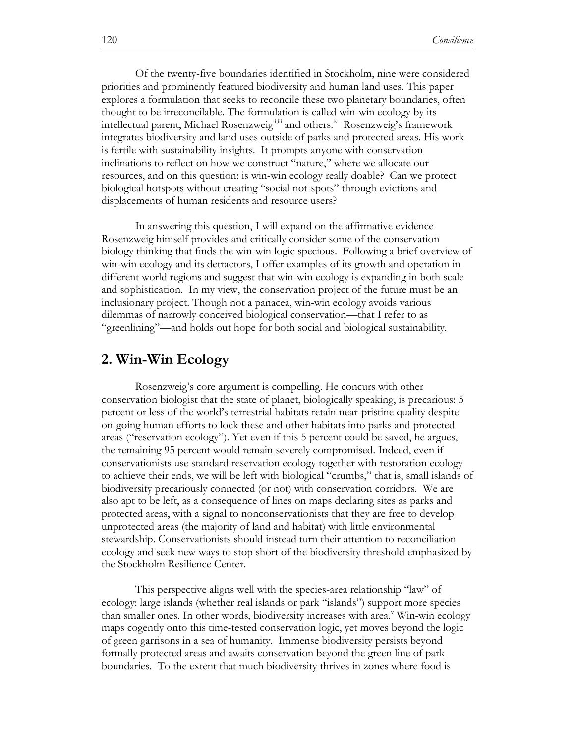Of the twenty-five boundaries identified in Stockholm, nine were considered priorities and prominently featured biodiversity and human land uses. This paper explores a formulation that seeks to reconcile these two planetary boundaries, often thought to be irreconcilable. The formulation is called win-win ecology by its intellectual parent, Michael Rosenzweig<sup>ijii</sup> and others.<sup>iv</sup> Rosenzweig's framework integrates biodiversity and land uses outside of parks and protected areas. His work is fertile with sustainability insights. It prompts anyone with conservation inclinations to reflect on how we construct "nature," where we allocate our resources, and on this question: is win-win ecology really doable? Can we protect biological hotspots without creating "social not-spots" through evictions and displacements of human residents and resource users?

In answering this question, I will expand on the affirmative evidence Rosenzweig himself provides and critically consider some of the conservation biology thinking that finds the win-win logic specious. Following a brief overview of win-win ecology and its detractors, I offer examples of its growth and operation in different world regions and suggest that win-win ecology is expanding in both scale and sophistication. In my view, the conservation project of the future must be an inclusionary project. Though not a panacea, win-win ecology avoids various dilemmas of narrowly conceived biological conservation—that I refer to as ―greenlining‖—and holds out hope for both social and biological sustainability.

#### **2. Win-Win Ecology**

Rosenzweig's core argument is compelling. He concurs with other conservation biologist that the state of planet, biologically speaking, is precarious: 5 percent or less of the world's terrestrial habitats retain near-pristine quality despite on-going human efforts to lock these and other habitats into parks and protected areas ("reservation ecology"). Yet even if this 5 percent could be saved, he argues, the remaining 95 percent would remain severely compromised. Indeed, even if conservationists use standard reservation ecology together with restoration ecology to achieve their ends, we will be left with biological "crumbs," that is, small islands of biodiversity precariously connected (or not) with conservation corridors. We are also apt to be left, as a consequence of lines on maps declaring sites as parks and protected areas, with a signal to nonconservationists that they are free to develop unprotected areas (the majority of land and habitat) with little environmental stewardship. Conservationists should instead turn their attention to reconciliation ecology and seek new ways to stop short of the biodiversity threshold emphasized by the Stockholm Resilience Center.

This perspective aligns well with the species-area relationship "law" of ecology: large islands (whether real islands or park "islands") support more species than smaller ones. In other words, biodiversity increases with area.<sup> $v$ </sup> Win-win ecology maps cogently onto this time-tested conservation logic, yet moves beyond the logic of green garrisons in a sea of humanity. Immense biodiversity persists beyond formally protected areas and awaits conservation beyond the green line of park boundaries. To the extent that much biodiversity thrives in zones where food is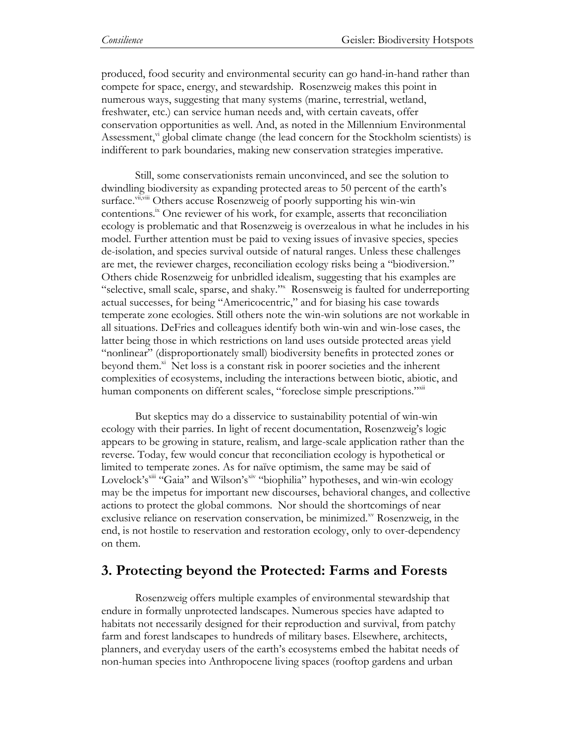produced, food security and environmental security can go hand-in-hand rather than compete for space, energy, and stewardship. Rosenzweig makes this point in numerous ways, suggesting that many systems (marine, terrestrial, wetland, freshwater, etc.) can service human needs and, with certain caveats, offer conservation opportunities as well. And, as noted in the Millennium Environmental Assessment,  $v_i$  global climate change (the lead concern for the Stockholm scientists) is indifferent to park boundaries, making new conservation strategies imperative.

Still, some conservationists remain unconvinced, and see the solution to dwindling biodiversity as expanding protected areas to 50 percent of the earth's surface.<sup>vii,viii</sup> Others accuse Rosenzweig of poorly supporting his win-win contentions.<sup>ix</sup> One reviewer of his work, for example, asserts that reconciliation ecology is problematic and that Rosenzweig is overzealous in what he includes in his model. Further attention must be paid to vexing issues of invasive species, species de-isolation, and species survival outside of natural ranges. Unless these challenges are met, the reviewer charges, reconciliation ecology risks being a "biodiversion." Others chide Rosenzweig for unbridled idealism, suggesting that his examples are "selective, small scale, sparse, and shaky." Rosensweig is faulted for underreporting actual successes, for being "Americocentric," and for biasing his case towards temperate zone ecologies. Still others note the win-win solutions are not workable in all situations. DeFries and colleagues identify both win-win and win-lose cases, the latter being those in which restrictions on land uses outside protected areas yield "nonlinear" (disproportionately small) biodiversity benefits in protected zones or beyond them. $x_i$  Net loss is a constant risk in poorer societies and the inherent complexities of ecosystems, including the interactions between biotic, abiotic, and human components on different scales, "foreclose simple prescriptions."xan

But skeptics may do a disservice to sustainability potential of win-win ecology with their parries. In light of recent documentation, Rosenzweig's logic appears to be growing in stature, realism, and large-scale application rather than the reverse. Today, few would concur that reconciliation ecology is hypothetical or limited to temperate zones. As for naïve optimism, the same may be said of Lovelock's<sup>xiii</sup> "Gaia" and Wilson's<sup>xiv</sup> "biophilia" hypotheses, and win-win ecology may be the impetus for important new discourses, behavioral changes, and collective actions to protect the global commons. Nor should the shortcomings of near exclusive reliance on reservation conservation, be minimized.<sup>xv</sup> Rosenzweig, in the end, is not hostile to reservation and restoration ecology, only to over-dependency on them.

# **3. Protecting beyond the Protected: Farms and Forests**

Rosenzweig offers multiple examples of environmental stewardship that endure in formally unprotected landscapes. Numerous species have adapted to habitats not necessarily designed for their reproduction and survival, from patchy farm and forest landscapes to hundreds of military bases. Elsewhere, architects, planners, and everyday users of the earth's ecosystems embed the habitat needs of non-human species into Anthropocene living spaces (rooftop gardens and urban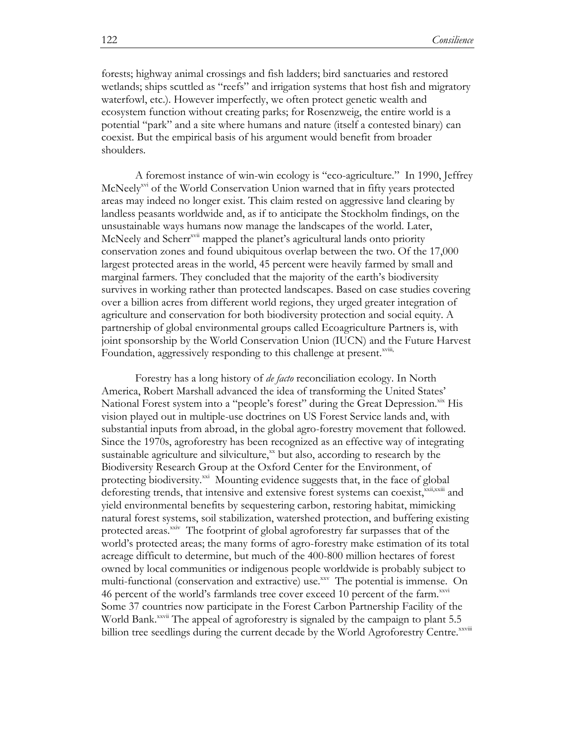forests; highway animal crossings and fish ladders; bird sanctuaries and restored wetlands; ships scuttled as "reefs" and irrigation systems that host fish and migratory waterfowl, etc.). However imperfectly, we often protect genetic wealth and ecosystem function without creating parks; for Rosenzweig, the entire world is a potential "park" and a site where humans and nature (itself a contested binary) can coexist. But the empirical basis of his argument would benefit from broader shoulders.

A foremost instance of win-win ecology is "eco-agriculture." In 1990, Jeffrey McNeely<sup>xvi</sup> of the World Conservation Union warned that in fifty years protected areas may indeed no longer exist. This claim rested on aggressive land clearing by landless peasants worldwide and, as if to anticipate the Stockholm findings, on the unsustainable ways humans now manage the landscapes of the world. Later, McNeely and Scherr<sup>xvii</sup> mapped the planet's agricultural lands onto priority conservation zones and found ubiquitous overlap between the two. Of the 17,000 largest protected areas in the world, 45 percent were heavily farmed by small and marginal farmers. They concluded that the majority of the earth's biodiversity survives in working rather than protected landscapes. Based on case studies covering over a billion acres from different world regions, they urged greater integration of agriculture and conservation for both biodiversity protection and social equity. A partnership of global environmental groups called Ecoagriculture Partners is, with joint sponsorship by the World Conservation Union (IUCN) and the Future Harvest Foundation, aggressively responding to this challenge at present.<sup>xviii</sup>,

Forestry has a long history of *de facto* reconciliation ecology. In North America, Robert Marshall advanced the idea of transforming the United States' National Forest system into a "people's forest" during the Great Depression.<sup>xix</sup> His vision played out in multiple-use doctrines on US Forest Service lands and, with substantial inputs from abroad, in the global agro-forestry movement that followed. Since the 1970s, agroforestry has been recognized as an effective way of integrating sustainable agriculture and silviculture, $x<sub>x</sub>$  but also, according to research by the Biodiversity Research Group at the Oxford Center for the Environment, of protecting biodiversity.<sup>xxi</sup> Mounting evidence suggests that, in the face of global deforesting trends, that intensive and extensive forest systems can coexist, xxii,xxiii and yield environmental benefits by sequestering carbon, restoring habitat, mimicking natural forest systems, soil stabilization, watershed protection, and buffering existing protected areas.<sup>xxiv</sup> The footprint of global agroforestry far surpasses that of the world's protected areas; the many forms of agro-forestry make estimation of its total acreage difficult to determine, but much of the 400-800 million hectares of forest owned by local communities or indigenous people worldwide is probably subject to multi-functional (conservation and extractive) use.<sup>xxv</sup> The potential is immense. On 46 percent of the world's farmlands tree cover exceed 10 percent of the farm.<sup>xxvi</sup> Some 37 countries now participate in the Forest Carbon Partnership Facility of the World Bank.<sup>xxvii</sup> The appeal of agroforestry is signaled by the campaign to plant 5.5 billion tree seedlings during the current decade by the World Agroforestry Centre.<sup>xxviii</sup>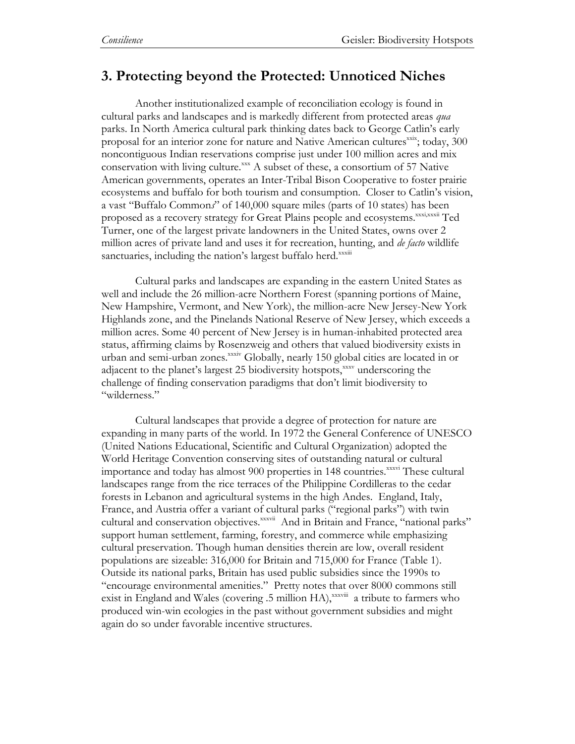# **3. Protecting beyond the Protected: Unnoticed Niches**

Another institutionalized example of reconciliation ecology is found in cultural parks and landscapes and is markedly different from protected areas *qua*  parks. In North America cultural park thinking dates back to George Catlin's early proposal for an interior zone for nature and Native American cultures<sup>xxx</sup>; today, 300 noncontiguous Indian reservations comprise just under 100 million acres and mix conservation with living culture. $x^x$  A subset of these, a consortium of 57 Native American governments, operates an Inter-Tribal Bison Cooperative to foster prairie ecosystems and buffalo for both tourism and consumption. Closer to Catlin's vision, a vast "Buffalo Common*s*" of 140,000 square miles (parts of 10 states) has been proposed as a recovery strategy for Great Plains people and ecosystems.<sup>xxxi,xxxii</sup> Ted Turner, one of the largest private landowners in the United States, owns over 2 million acres of private land and uses it for recreation, hunting, and *de facto* wildlife sanctuaries, including the nation's largest buffalo herd.<sup>xxxm</sup>

Cultural parks and landscapes are expanding in the eastern United States as well and include the 26 million-acre Northern Forest (spanning portions of Maine, New Hampshire, Vermont, and New York), the million-acre New Jersey-New York Highlands zone, and the Pinelands National Reserve of New Jersey, which exceeds a million acres. Some 40 percent of New Jersey is in human-inhabited protected area status, affirming claims by Rosenzweig and others that valued biodiversity exists in urban and semi-urban zones.<sup>xxxiv</sup> Globally, nearly 150 global cities are located in or adjacent to the planet's largest 25 biodiversity hotspots, xxxv underscoring the challenge of finding conservation paradigms that don't limit biodiversity to "wilderness."

Cultural landscapes that provide a degree of protection for nature are expanding in many parts of the world. In 1972 the General Conference of UNESCO (United Nations Educational, Scientific and Cultural Organization) adopted the World Heritage Convention conserving sites of outstanding natural or cultural importance and today has almost 900 properties in 148 countries.<sup>xxxvi</sup> These cultural landscapes range from the rice terraces of the Philippine Cordilleras to the cedar forests in Lebanon and agricultural systems in the high Andes. England, Italy, France, and Austria offer a variant of cultural parks ("regional parks") with twin cultural and conservation objectives.<sup>xxxvii</sup> And in Britain and France, "national parks" support human settlement, farming, forestry, and commerce while emphasizing cultural preservation. Though human densities therein are low, overall resident populations are sizeable: 316,000 for Britain and 715,000 for France (Table 1). Outside its national parks, Britain has used public subsidies since the 1990s to "encourage environmental amenities." Pretty notes that over 8000 commons still exist in England and Wales (covering  $.5$  million  $HA$ ),  $x$ xxviii a tribute to farmers who produced win-win ecologies in the past without government subsidies and might again do so under favorable incentive structures.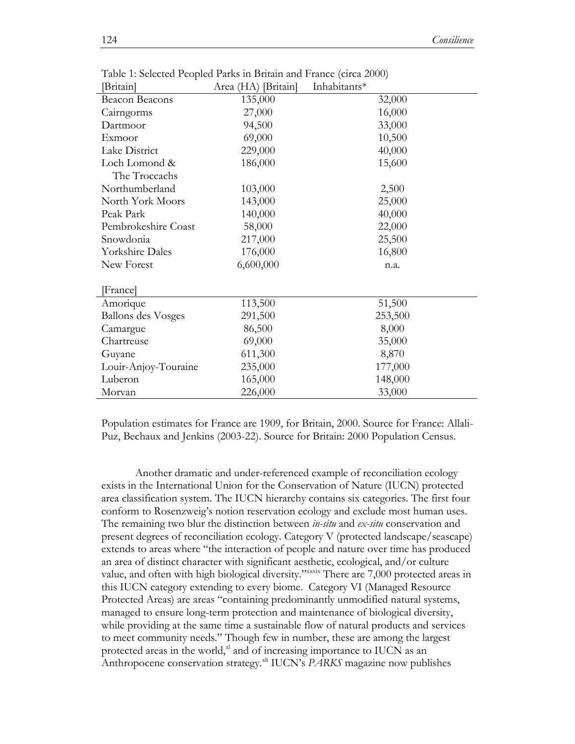| [Britain]                 | Area (HA) [Britain] | Inhabitants* |         |
|---------------------------|---------------------|--------------|---------|
| Beacon Beacons            | 135,000             |              | 32,000  |
| Cairngorms                | 27,000              |              | 16,000  |
| Dartmoor                  | 94,500              |              | 33,000  |
| Exmoor                    | 69,000              |              | 10,500  |
| Lake District             | 229,000             |              | 40,000  |
| Loch Lomond &             | 186,000             |              | 15,600  |
| The Troccachs             |                     |              |         |
| Northumberland            | 103,000             |              | 2,500   |
| North York Moors          | 143,000             |              | 25,000  |
| Peak Park                 | 140,000             |              | 40,000  |
| Pembrokeshire Coast       | 58,000              |              | 22,000  |
| Snowdonia                 | 217,000             |              | 25,500  |
| <b>Yorkshire Dales</b>    | 176,000             |              | 16,800  |
| New Forest                | 6,600,000           |              | n.a.    |
| [France]                  |                     |              |         |
| Amorique                  | 113,500             |              | 51,500  |
| <b>Ballons des Vosges</b> | 291,500             |              | 253,500 |
| Camargue                  | 86,500              |              | 8,000   |
| Chartreuse                | 69,000              |              | 35,000  |
| Guyane                    | 611,300             |              | 8,870   |
| Louir-Anjoy-Touraine      | 235,000             |              | 177,000 |
| Luberon                   | 165,000             |              | 148,000 |
| Morvan                    | 226,000             |              | 33,000  |

Table 1: Selected Peopled Parks in Britain and France (circa 2000)

Population estimates for France are 1909, for Britain, 2000. Source for France: Allali-Puz, Bechaux and Jenkins (2003-22). Source for Britain: 2000 Population Census.

Another dramatic and under-referenced example of reconciliation ecology exists in the International Union for the Conservation of Nature (IUCN) protected area classification system. The IUCN hierarchy contains six categories. The first four conform to Rosenzweig's notion reservation ecology and exclude most human uses. The remaining two blur the distinction between *in-situ* and *ex-situ* conservation and present degrees of reconciliation ecology. Category V (protected landscape/seascape) extends to areas where "the interaction of people and nature over time has produced an area of distinct character with significant aesthetic, ecological, and/or culture value, and often with high biological diversity."xxxix There are 7,000 protected areas in this IUCN category extending to every biome. Category VI (Managed Resource Protected Areas) are areas "containing predominantly unmodified natural systems, managed to ensure long-term protection and maintenance of biological diversity, while providing at the same time a sustainable flow of natural products and services to meet community needs." Though few in number, these are among the largest protected areas in the world, xl and of increasing importance to IUCN as an Anthropocene conservation strategy.<sup>xli</sup> IUCN's *PARKS* magazine now publishes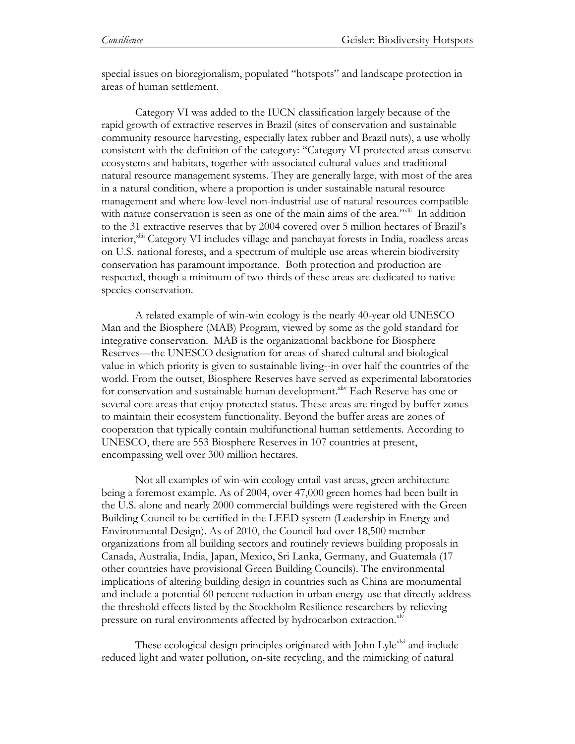special issues on bioregionalism, populated "hotspots" and landscape protection in areas of human settlement.

Category VI was added to the IUCN classification largely because of the rapid growth of extractive reserves in Brazil (sites of conservation and sustainable community resource harvesting, especially latex rubber and Brazil nuts), a use wholly consistent with the definition of the category: "Category VI protected areas conserve ecosystems and habitats, together with associated cultural values and traditional natural resource management systems. They are generally large, with most of the area in a natural condition, where a proportion is under sustainable natural resource management and where low-level non-industrial use of natural resources compatible with nature conservation is seen as one of the main aims of the area."<sup>xlii</sup> In addition to the 31 extractive reserves that by 2004 covered over 5 million hectares of Brazil's interior,<sup>xliii</sup> Category VI includes village and panchayat forests in India, roadless areas on U.S. national forests, and a spectrum of multiple use areas wherein biodiversity conservation has paramount importance. Both protection and production are respected, though a minimum of two-thirds of these areas are dedicated to native species conservation.

A related example of win-win ecology is the nearly 40-year old UNESCO Man and the Biosphere (MAB) Program, viewed by some as the gold standard for integrative conservation. MAB is the organizational backbone for Biosphere Reserves—the UNESCO designation for areas of shared cultural and biological value in which priority is given to sustainable living--in over half the countries of the world. From the outset, Biosphere Reserves have served as experimental laboratories for conservation and sustainable human development.<sup>xliv</sup> Each Reserve has one or several core areas that enjoy protected status. These areas are ringed by buffer zones to maintain their ecosystem functionality. Beyond the buffer areas are zones of cooperation that typically contain multifunctional human settlements. According to UNESCO, there are 553 Biosphere Reserves in 107 countries at present, encompassing well over 300 million hectares.

Not all examples of win-win ecology entail vast areas, green architecture being a foremost example. As of 2004, over 47,000 green homes had been built in the U.S. alone and nearly 2000 commercial buildings were registered with the Green Building Council to be certified in the LEED system (Leadership in Energy and Environmental Design). As of 2010, the Council had over 18,500 member organizations from all building sectors and routinely reviews building proposals in Canada, Australia, India, Japan, Mexico, Sri Lanka, Germany, and Guatemala (17 other countries have provisional Green Building Councils). The environmental implications of altering building design in countries such as China are monumental and include a potential 60 percent reduction in urban energy use that directly address the threshold effects listed by the Stockholm Resilience researchers by relieving pressure on rural environments affected by hydrocarbon extraction.<sup>xlv</sup>

These ecological design principles originated with John Lyle<sup>xlvi</sup> and include reduced light and water pollution, on-site recycling, and the mimicking of natural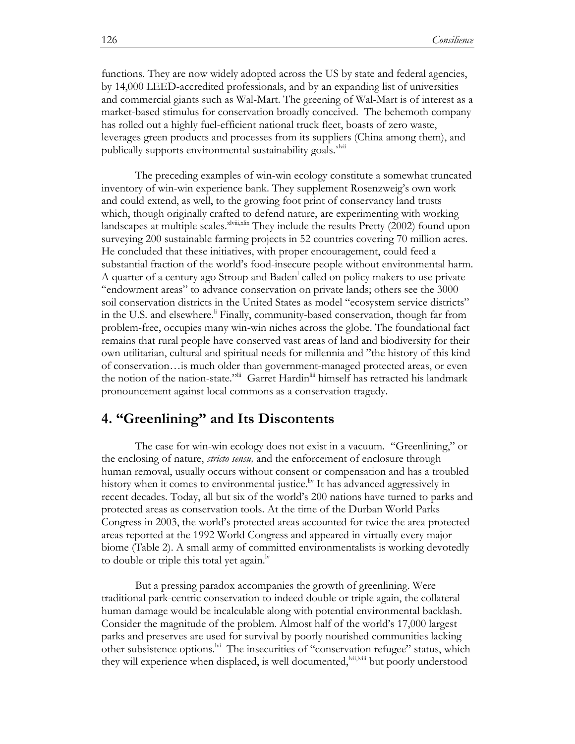functions. They are now widely adopted across the US by state and federal agencies, by 14,000 LEED-accredited professionals, and by an expanding list of universities and commercial giants such as Wal-Mart. The greening of Wal-Mart is of interest as a market-based stimulus for conservation broadly conceived. The behemoth company has rolled out a highly fuel-efficient national truck fleet, boasts of zero waste, leverages green products and processes from its suppliers (China among them), and publically supports environmental sustainability goals.<sup>xlvii</sup>

The preceding examples of win-win ecology constitute a somewhat truncated inventory of win-win experience bank. They supplement Rosenzweig's own work and could extend, as well, to the growing foot print of conservancy land trusts which, though originally crafted to defend nature, are experimenting with working landscapes at multiple scales. $x^{\text{kvii,xlix}}$  They include the results Pretty (2002) found upon surveying 200 sustainable farming projects in 52 countries covering 70 million acres. He concluded that these initiatives, with proper encouragement, could feed a substantial fraction of the world's food-insecure people without environmental harm. A quarter of a century ago Stroup and Baden<sup>1</sup> called on policy makers to use private ―endowment areas‖ to advance conservation on private lands; others see the 3000 soil conservation districts in the United States as model "ecosystem service districts" in the U.S. and elsewhere.<sup>"</sup> Finally, community-based conservation, though far from problem-free, occupies many win-win niches across the globe. The foundational fact remains that rural people have conserved vast areas of land and biodiversity for their own utilitarian, cultural and spiritual needs for millennia and ‖the history of this kind of conservation…is much older than government-managed protected areas, or even the notion of the nation-state." Garret Hardin<sup>liii</sup> himself has retracted his landmark pronouncement against local commons as a conservation tragedy.

## **4. "Greenlining" and Its Discontents**

The case for win-win ecology does not exist in a vacuum. "Greenlining," or the enclosing of nature, *stricto sensu,* and the enforcement of enclosure through human removal, usually occurs without consent or compensation and has a troubled history when it comes to environmental justice.<sup>Iv</sup> It has advanced aggressively in recent decades. Today, all but six of the world's 200 nations have turned to parks and protected areas as conservation tools. At the time of the Durban World Parks Congress in 2003, the world's protected areas accounted for twice the area protected areas reported at the 1992 World Congress and appeared in virtually every major biome (Table 2). A small army of committed environmentalists is working devotedly to double or triple this total yet again. $\frac{N}{N}$ 

But a pressing paradox accompanies the growth of greenlining. Were traditional park-centric conservation to indeed double or triple again, the collateral human damage would be incalculable along with potential environmental backlash. Consider the magnitude of the problem. Almost half of the world's 17,000 largest parks and preserves are used for survival by poorly nourished communities lacking other subsistence options.<sup>lvi</sup> The insecurities of "conservation refugee" status, which they will experience when displaced, is well documented, vii,lviii but poorly understood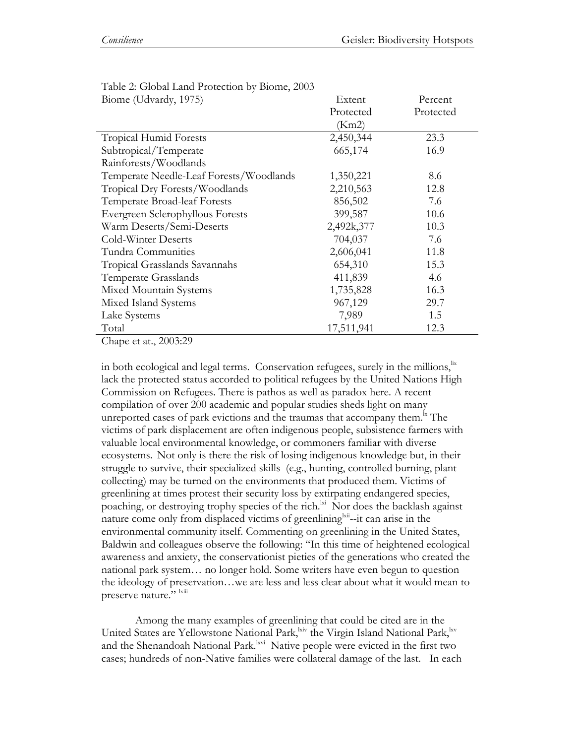Table 2: Global Land Protection by Biome, 2003

Chape et at., 2003:29

in both ecological and legal terms. Conservation refugees, surely in the millions,<sup>lix</sup> lack the protected status accorded to political refugees by the United Nations High Commission on Refugees. There is pathos as well as paradox here. A recent compilation of over 200 academic and popular studies sheds light on many unreported cases of park evictions and the traumas that accompany them. $\frac{1}{n}$  The victims of park displacement are often indigenous people, subsistence farmers with valuable local environmental knowledge, or commoners familiar with diverse ecosystems. Not only is there the risk of losing indigenous knowledge but, in their struggle to survive, their specialized skills (e.g., hunting, controlled burning, plant collecting) may be turned on the environments that produced them. Victims of greenlining at times protest their security loss by extirpating endangered species, poaching, or destroying trophy species of the rich.<sup>ki</sup> Nor does the backlash against nature come only from displaced victims of greenlining i... it can arise in the environmental community itself. Commenting on greenlining in the United States, Baldwin and colleagues observe the following: "In this time of heightened ecological awareness and anxiety, the conservationist pieties of the generations who created the national park system… no longer hold. Some writers have even begun to question the ideology of preservation…we are less and less clear about what it would mean to preserve nature." Ixiii

Among the many examples of greenlining that could be cited are in the United States are Yellowstone National Park, kiv the Virgin Island National Park, kv and the Shenandoah National Park.<sup>kvi</sup> Native people were evicted in the first two cases; hundreds of non-Native families were collateral damage of the last. In each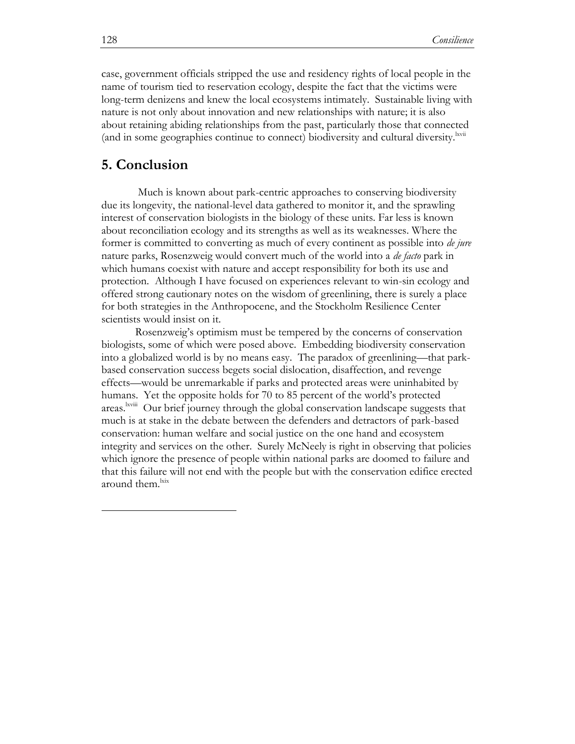case, government officials stripped the use and residency rights of local people in the name of tourism tied to reservation ecology, despite the fact that the victims were long-term denizens and knew the local ecosystems intimately. Sustainable living with nature is not only about innovation and new relationships with nature; it is also about retaining abiding relationships from the past, particularly those that connected (and in some geographies continue to connect) biodiversity and cultural diversity.<sup>Ixvii</sup>

### **5. Conclusion**

Much is known about park-centric approaches to conserving biodiversity due its longevity, the national-level data gathered to monitor it, and the sprawling interest of conservation biologists in the biology of these units. Far less is known about reconciliation ecology and its strengths as well as its weaknesses. Where the former is committed to converting as much of every continent as possible into *de jure*  nature parks, Rosenzweig would convert much of the world into a *de facto* park in which humans coexist with nature and accept responsibility for both its use and protection. Although I have focused on experiences relevant to win-sin ecology and offered strong cautionary notes on the wisdom of greenlining, there is surely a place for both strategies in the Anthropocene, and the Stockholm Resilience Center scientists would insist on it.

Rosenzweig's optimism must be tempered by the concerns of conservation biologists, some of which were posed above. Embedding biodiversity conservation into a globalized world is by no means easy. The paradox of greenlining—that parkbased conservation success begets social dislocation, disaffection, and revenge effects—would be unremarkable if parks and protected areas were uninhabited by humans. Yet the opposite holds for 70 to 85 percent of the world's protected areas.<sup>lxviii</sup> Our brief journey through the global conservation landscape suggests that much is at stake in the debate between the defenders and detractors of park-based conservation: human welfare and social justice on the one hand and ecosystem integrity and services on the other. Surely McNeely is right in observing that policies which ignore the presence of people within national parks are doomed to failure and that this failure will not end with the people but with the conservation edifice erected around them.<sup>lxix</sup>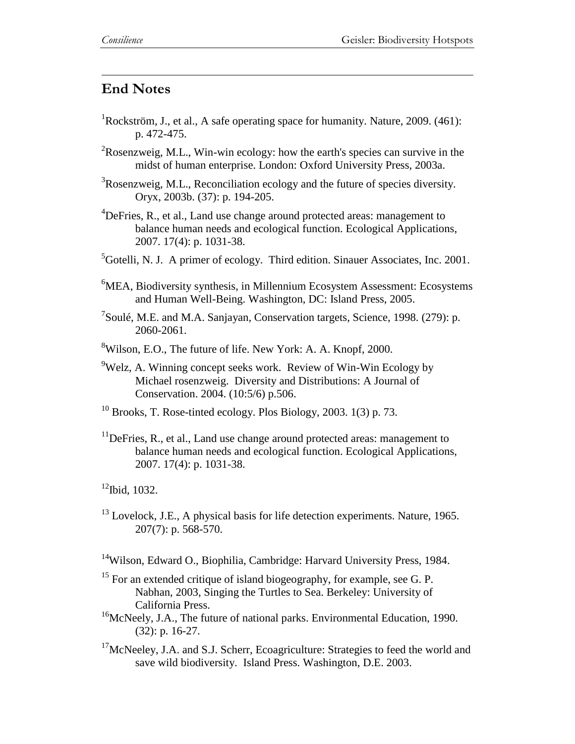$\overline{a}$ 

# **End Notes**

- <sup>1</sup>Rockström, J., et al., A safe operating space for humanity. Nature, 2009.  $(461)$ : p. 472-475.
- $2R$ osenzweig, M.L., Win-win ecology: how the earth's species can survive in the midst of human enterprise. London: Oxford University Press, 2003a.
- <sup>3</sup>Rosenzweig, M.L., Reconciliation ecology and the future of species diversity. Oryx, 2003b. (37): p. 194-205.
- ${}^{4}$ DeFries, R., et al., Land use change around protected areas: management to balance human needs and ecological function. Ecological Applications, 2007. 17(4): p. 1031-38.
- ${}^{5}$ Gotelli, N. J. A primer of ecology. Third edition. Sinauer Associates, Inc. 2001.
- ${}^{6}$ MEA, Biodiversity synthesis, in Millennium Ecosystem Assessment: Ecosystems and Human Well-Being. Washington, DC: Island Press, 2005.
- <sup>7</sup>Soulé, M.E. and M.A. Sanjayan, Conservation targets, Science, 1998. (279): p. 2060-2061.
- $8$ Wilson, E.O., The future of life. New York: A. A. Knopf, 2000.
- $9$ Welz, A. Winning concept seeks work. Review of Win-Win Ecology by Michael rosenzweig. Diversity and Distributions: A Journal of Conservation. 2004. (10:5/6) p.506.
- $10$  Brooks, T. Rose-tinted ecology. Plos Biology, 2003. 1(3) p. 73.
- $11$ DeFries, R., et al., Land use change around protected areas: management to balance human needs and ecological function. Ecological Applications, 2007. 17(4): p. 1031-38.

 $12$ Ibid, 1032.

<sup>13</sup> Lovelock, J.E., A physical basis for life detection experiments. Nature, 1965. 207(7): p. 568-570.

<sup>14</sup>Wilson, Edward O., Biophilia, Cambridge: Harvard University Press, 1984.

- $15$  For an extended critique of island biogeography, for example, see G. P. Nabhan, 2003, Singing the Turtles to Sea. Berkeley: University of California Press.
- <sup>16</sup>McNeely, J.A., The future of national parks. Environmental Education, 1990. (32): p. 16-27.
- $17$ McNeeley, J.A. and S.J. Scherr, Ecoagriculture: Strategies to feed the world and save wild biodiversity. Island Press. Washington, D.E. 2003.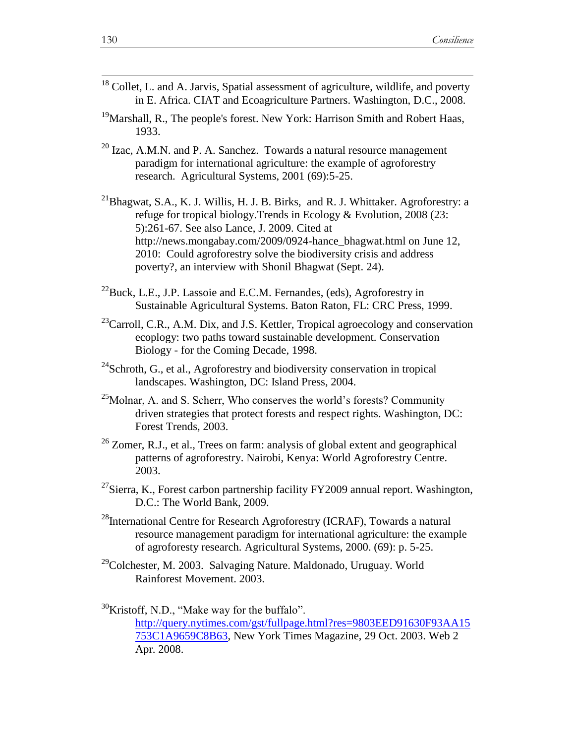| <sup>18</sup> Collet, L. and A. Jarvis, Spatial assessment of agriculture, wildlife, and poverty |  |
|--------------------------------------------------------------------------------------------------|--|
| in E. Africa. CIAT and Ecoagriculture Partners. Washington, D.C., 2008.                          |  |

- $19$ Marshall, R., The people's forest. New York: Harrison Smith and Robert Haas, 1933.
- $20$  Izac, A.M.N. and P. A. Sanchez. Towards a natural resource management paradigm for international agriculture: the example of agroforestry research. Agricultural Systems, 2001 (69):5-25.
- <sup>21</sup>Bhagwat, S.A., K. J. Willis, H. J. B. Birks, and R. J. Whittaker. Agroforestry: a refuge for tropical biology.Trends in Ecology & Evolution, 2008 (23: 5):261-67. See also Lance, J. 2009. Cited at http://news.mongabay.com/2009/0924-hance\_bhagwat.html on June 12, 2010: Could agroforestry solve the biodiversity crisis and address poverty?, an interview with Shonil Bhagwat (Sept. 24).
- $^{22}$ Buck, L.E., J.P. Lassoie and E.C.M. Fernandes, (eds), Agroforestry in Sustainable Agricultural Systems. Baton Raton, FL: CRC Press, 1999.
- $^{23}$ Carroll, C.R., A.M. Dix, and J.S. Kettler, Tropical agroecology and conservation ecoplogy: two paths toward sustainable development. Conservation Biology - for the Coming Decade, 1998.
- $24$ Schroth, G., et al., Agroforestry and biodiversity conservation in tropical landscapes. Washington, DC: Island Press, 2004.
- $25$ Molnar, A. and S. Scherr, Who conserves the world's forests? Community driven strategies that protect forests and respect rights. Washington, DC: Forest Trends, 2003.
- $^{26}$  Zomer, R.J., et al., Trees on farm: analysis of global extent and geographical patterns of agroforestry. Nairobi, Kenya: World Agroforestry Centre. 2003.
- $^{27}$ Sierra, K., Forest carbon partnership facility FY2009 annual report. Washington, D.C.: The World Bank, 2009.
- $^{28}$ International Centre for Research Agroforestry (ICRAF), Towards a natural resource management paradigm for international agriculture: the example of agroforesty research. Agricultural Systems, 2000. (69): p. 5-25.
- <sup>29</sup>Colchester, M. 2003. Salvaging Nature. Maldonado, Uruguay. World Rainforest Movement. 2003.

 $30$ Kristoff, N.D., "Make way for the buffalo". [http://query.nytimes.com/gst/fullpage.html?res=9803EED91630F93AA15](http://query.nytimes.com/gst/fullpage.html?res=9803EED91630F93AA15%09753C1A9659C8B63) [753C1A9659C8B63,](http://query.nytimes.com/gst/fullpage.html?res=9803EED91630F93AA15%09753C1A9659C8B63) New York Times Magazine, 29 Oct. 2003. Web 2 Apr. 2008.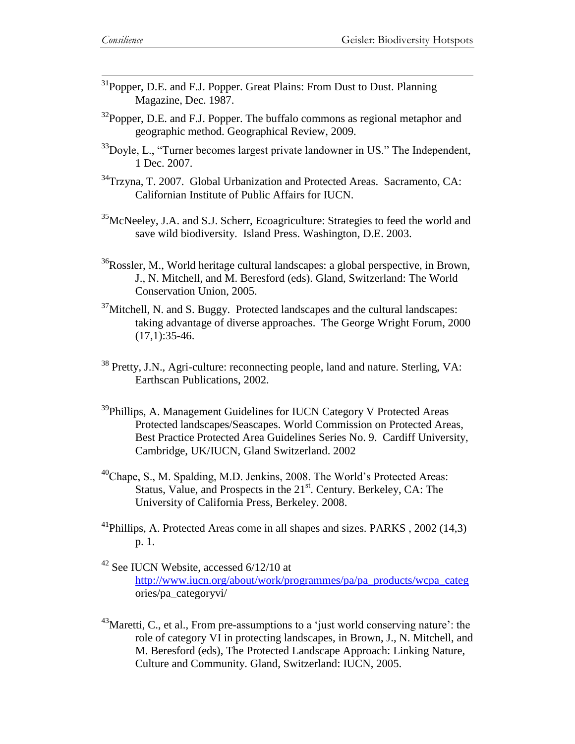- $31P$ opper, D.E. and F.J. Popper. Great Plains: From Dust to Dust. Planning Magazine, Dec. 1987.
- $32$ Popper, D.E. and F.J. Popper. The buffalo commons as regional metaphor and geographic method. Geographical Review, 2009.
- $33D$  Doyle, L., "Turner becomes largest private landowner in US." The Independent, 1 Dec. 2007.
- <sup>34</sup>Trzyna, T. 2007. Global Urbanization and Protected Areas. Sacramento, CA: Californian Institute of Public Affairs for IUCN.
- <sup>35</sup>McNeeley, J.A. and S.J. Scherr, Ecoagriculture: Strategies to feed the world and save wild biodiversity. Island Press. Washington, D.E. 2003.
- <sup>36</sup>Rossler, M., World heritage cultural landscapes: a global perspective, in Brown, J., N. Mitchell, and M. Beresford (eds). Gland, Switzerland: The World Conservation Union, 2005.
- $37$ Mitchell, N. and S. Buggy. Protected landscapes and the cultural landscapes: taking advantage of diverse approaches. The George Wright Forum, 2000  $(17,1):35-46.$
- <sup>38</sup> Pretty, J.N., Agri-culture: reconnecting people, land and nature. Sterling, VA: Earthscan Publications, 2002.
- <sup>39</sup>Phillips, A. Management Guidelines for IUCN Category V Protected Areas Protected landscapes/Seascapes. World Commission on Protected Areas, Best Practice Protected Area Guidelines Series No. 9. Cardiff University, Cambridge, UK/IUCN, Gland Switzerland. 2002
- <sup>40</sup>Chape, S., M. Spalding, M.D. Jenkins, 2008. The World"s Protected Areas: Status, Value, and Prospects in the 21<sup>st</sup>. Century. Berkeley, CA: The University of California Press, Berkeley. 2008.
- <sup>41</sup>Phillips, A. Protected Areas come in all shapes and sizes. PARKS,  $2002(14.3)$ p. 1.
- $42$  See IUCN Website, accessed  $6/12/10$  at [http://www.iucn.org/about/work/programmes/pa/pa\\_products/wcpa\\_categ](http://www.iucn.org/about/work/programmes/pa/pa_products/wcpa_categ) ories/pa\_categoryvi/
- $43$ Maretti, C., et al., From pre-assumptions to a 'just world conserving nature': the role of category VI in protecting landscapes, in Brown, J., N. Mitchell, and M. Beresford (eds), The Protected Landscape Approach: Linking Nature, Culture and Community. Gland, Switzerland: IUCN, 2005.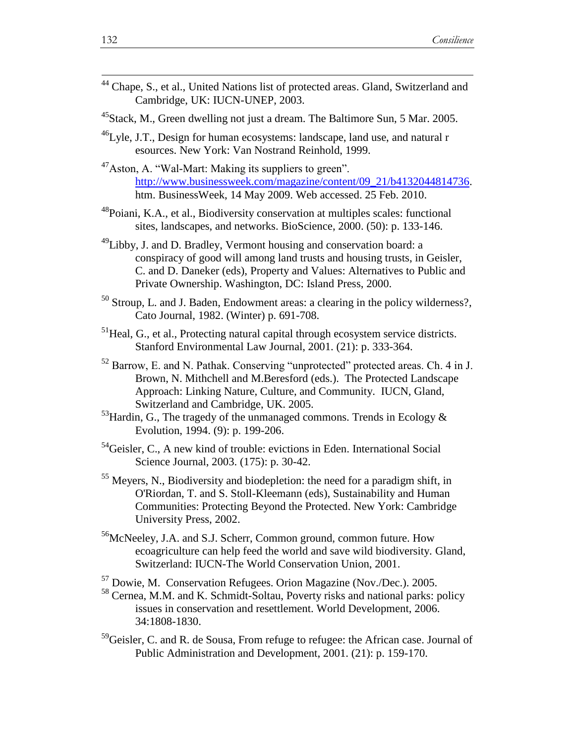| <sup>44</sup> Chape, S., et al., United Nations list of protected areas. Gland, Switzerland and |  |
|-------------------------------------------------------------------------------------------------|--|
| Cambridge, UK: IUCN-UNEP, 2003.                                                                 |  |

- <sup>45</sup>Stack, M., Green dwelling not just a dream. The Baltimore Sun, 5 Mar. 2005.
- $^{46}$ Lyle, J.T., Design for human ecosystems: landscape, land use, and natural r esources. New York: Van Nostrand Reinhold, 1999.
- <sup>47</sup>Aston, A. "Wal-Mart: Making its suppliers to green". [http://www.businessweek.com/magazine/content/09\\_21/b4132044814736.](http://www.businessweek.com/magazine/content/09_21/b4132044814736) htm. BusinessWeek, 14 May 2009. Web accessed. 25 Feb. 2010.
- <sup>48</sup>Poiani, K.A., et al., Biodiversity conservation at multiples scales: functional sites, landscapes, and networks. BioScience, 2000. (50): p. 133-146.
- $^{49}$ Libby, J. and D. Bradley, Vermont housing and conservation board: a conspiracy of good will among land trusts and housing trusts, in Geisler, C. and D. Daneker (eds), Property and Values: Alternatives to Public and Private Ownership. Washington, DC: Island Press, 2000.
- $50$  Stroup, L. and J. Baden, Endowment areas: a clearing in the policy wilderness?, Cato Journal, 1982. (Winter) p. 691-708.
- $<sup>51</sup>$  Heal, G., et al., Protecting natural capital through ecosystem service districts.</sup> Stanford Environmental Law Journal, 2001. (21): p. 333-364.
- <sup>52</sup> Barrow, E. and N. Pathak. Conserving "unprotected" protected areas. Ch. 4 in J. Brown, N. Mithchell and M.Beresford (eds.). The Protected Landscape Approach: Linking Nature, Culture, and Community. IUCN, Gland, Switzerland and Cambridge, UK. 2005.
- $53$ Hardin, G., The tragedy of the unmanaged commons. Trends in Ecology & Evolution, 1994. (9): p. 199-206.
- <sup>54</sup>Geisler, C., A new kind of trouble: evictions in Eden. International Social Science Journal, 2003. (175): p. 30-42.
- <sup>55</sup> Meyers, N., Biodiversity and biodepletion: the need for a paradigm shift, in O'Riordan, T. and S. Stoll-Kleemann (eds), Sustainability and Human Communities: Protecting Beyond the Protected. New York: Cambridge University Press, 2002.
- <sup>56</sup>McNeeley, J.A. and S.J. Scherr, Common ground, common future. How ecoagriculture can help feed the world and save wild biodiversity. Gland, Switzerland: IUCN-The World Conservation Union, 2001.

<sup>57</sup> Dowie, M. Conservation Refugees. Orion Magazine (Nov./Dec.). 2005.

<sup>58</sup> Cernea, M.M. and K. Schmidt-Soltau, Poverty risks and national parks: policy issues in conservation and resettlement. World Development, 2006. 34:1808-1830.

<sup>59</sup>Geisler, C. and R. de Sousa, From refuge to refugee: the African case. Journal of Public Administration and Development, 2001. (21): p. 159-170.